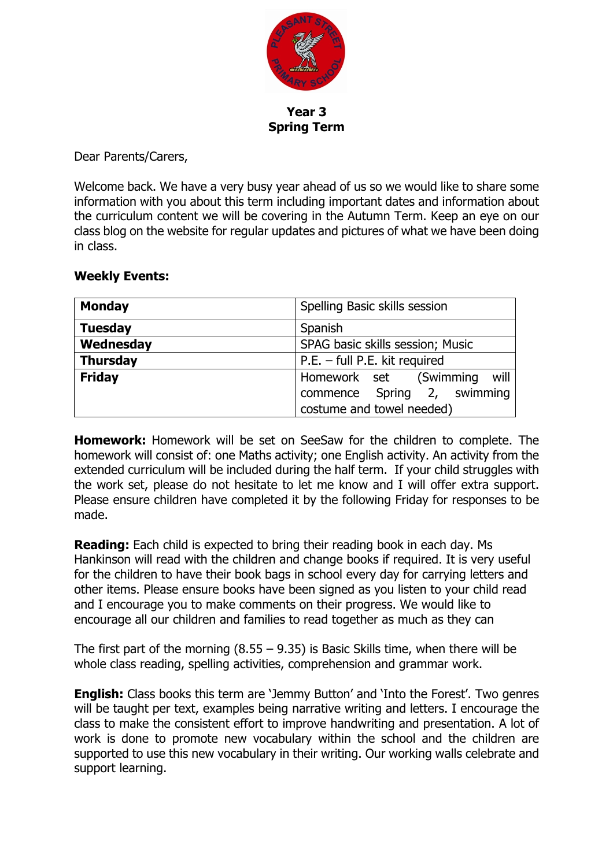

**Year 3 Spring Term**

Dear Parents/Carers,

Welcome back. We have a very busy year ahead of us so we would like to share some information with you about this term including important dates and information about the curriculum content we will be covering in the Autumn Term. Keep an eye on our class blog on the website for regular updates and pictures of what we have been doing in class.

## **Weekly Events:**

| <b>Monday</b>   | Spelling Basic skills session    |  |  |
|-----------------|----------------------------------|--|--|
| <b>Tuesday</b>  | Spanish                          |  |  |
| Wednesday       | SPAG basic skills session; Music |  |  |
| <b>Thursday</b> | P.E. - full P.E. kit required    |  |  |
| <b>Friday</b>   | will<br>Homework set (Swimming   |  |  |
|                 | commence Spring 2, swimming      |  |  |
|                 | costume and towel needed)        |  |  |

**Homework:** Homework will be set on SeeSaw for the children to complete. The homework will consist of: one Maths activity; one English activity. An activity from the extended curriculum will be included during the half term. If your child struggles with the work set, please do not hesitate to let me know and I will offer extra support. Please ensure children have completed it by the following Friday for responses to be made.

**Reading:** Each child is expected to bring their reading book in each day. Ms Hankinson will read with the children and change books if required. It is very useful for the children to have their book bags in school every day for carrying letters and other items. Please ensure books have been signed as you listen to your child read and I encourage you to make comments on their progress. We would like to encourage all our children and families to read together as much as they can

The first part of the morning  $(8.55 - 9.35)$  is Basic Skills time, when there will be whole class reading, spelling activities, comprehension and grammar work.

**English:** Class books this term are 'Jemmy Button' and 'Into the Forest'. Two genres will be taught per text, examples being narrative writing and letters. I encourage the class to make the consistent effort to improve handwriting and presentation. A lot of work is done to promote new vocabulary within the school and the children are supported to use this new vocabulary in their writing. Our working walls celebrate and support learning.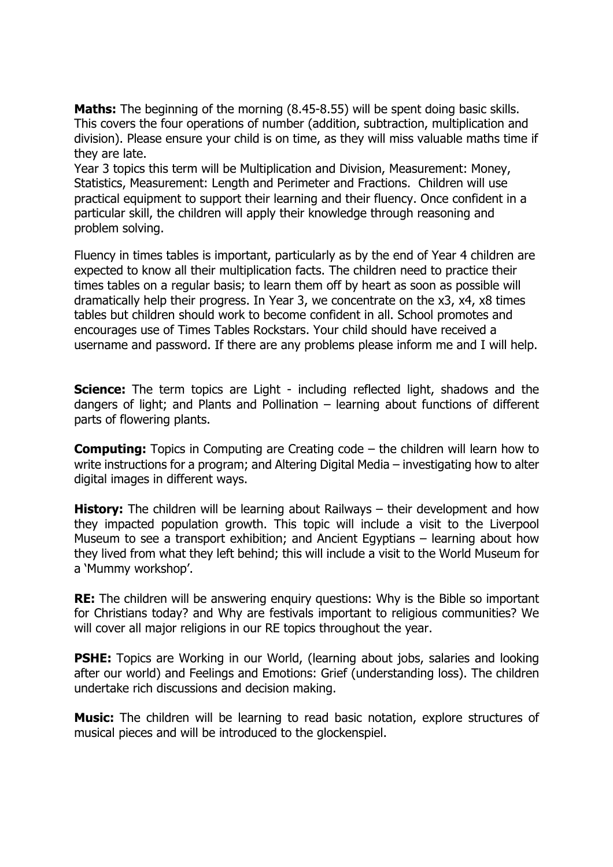**Maths:** The beginning of the morning (8.45-8.55) will be spent doing basic skills. This covers the four operations of number (addition, subtraction, multiplication and division). Please ensure your child is on time, as they will miss valuable maths time if they are late.

Year 3 topics this term will be Multiplication and Division, Measurement: Money, Statistics, Measurement: Length and Perimeter and Fractions. Children will use practical equipment to support their learning and their fluency. Once confident in a particular skill, the children will apply their knowledge through reasoning and problem solving.

Fluency in times tables is important, particularly as by the end of Year 4 children are expected to know all their multiplication facts. The children need to practice their times tables on a regular basis; to learn them off by heart as soon as possible will dramatically help their progress. In Year 3, we concentrate on the x3, x4, x8 times tables but children should work to become confident in all. School promotes and encourages use of Times Tables Rockstars. Your child should have received a username and password. If there are any problems please inform me and I will help.

**Science:** The term topics are Light - including reflected light, shadows and the dangers of light; and Plants and Pollination – learning about functions of different parts of flowering plants.

**Computing:** Topics in Computing are Creating code – the children will learn how to write instructions for a program; and Altering Digital Media – investigating how to alter digital images in different ways.

**History:** The children will be learning about Railways – their development and how they impacted population growth. This topic will include a visit to the Liverpool Museum to see a transport exhibition; and Ancient Egyptians – learning about how they lived from what they left behind; this will include a visit to the World Museum for a 'Mummy workshop'.

**RE:** The children will be answering enquiry questions: Why is the Bible so important for Christians today? and Why are festivals important to religious communities? We will cover all major religions in our RE topics throughout the year.

**PSHE:** Topics are Working in our World, (learning about jobs, salaries and looking after our world) and Feelings and Emotions: Grief (understanding loss). The children undertake rich discussions and decision making.

**Music:** The children will be learning to read basic notation, explore structures of musical pieces and will be introduced to the glockenspiel.